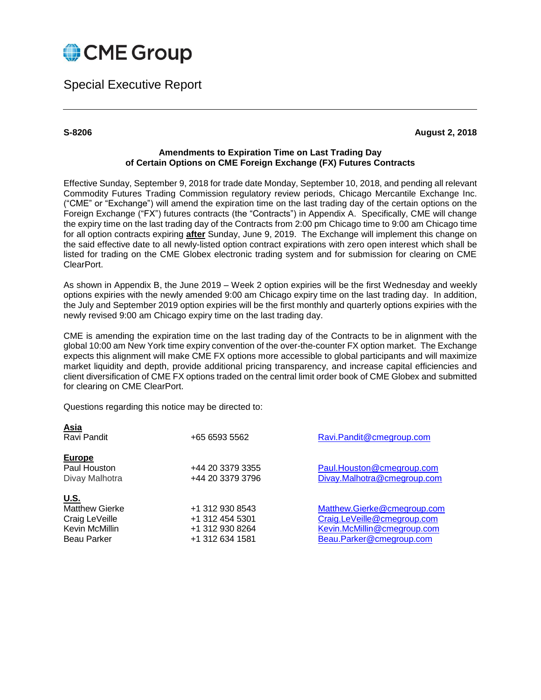

Special Executive Report

**Asia**

**S-8206 August 2, 2018**

### **Amendments to Expiration Time on Last Trading Day of Certain Options on CME Foreign Exchange (FX) Futures Contracts**

Effective Sunday, September 9, 2018 for trade date Monday, September 10, 2018, and pending all relevant Commodity Futures Trading Commission regulatory review periods, Chicago Mercantile Exchange Inc. ("CME" or "Exchange") will amend the expiration time on the last trading day of the certain options on the Foreign Exchange ("FX") futures contracts (the "Contracts") in Appendix A. Specifically, CME will change the expiry time on the last trading day of the Contracts from 2:00 pm Chicago time to 9:00 am Chicago time for all option contracts expiring **after** Sunday, June 9, 2019. The Exchange will implement this change on the said effective date to all newly-listed option contract expirations with zero open interest which shall be listed for trading on the CME Globex electronic trading system and for submission for clearing on CME ClearPort.

As shown in Appendix B, the June 2019 – Week 2 option expiries will be the first Wednesday and weekly options expiries with the newly amended 9:00 am Chicago expiry time on the last trading day. In addition, the July and September 2019 option expiries will be the first monthly and quarterly options expiries with the newly revised 9:00 am Chicago expiry time on the last trading day.

CME is amending the expiration time on the last trading day of the Contracts to be in alignment with the global 10:00 am New York time expiry convention of the over-the-counter FX option market. The Exchange expects this alignment will make CME FX options more accessible to global participants and will maximize market liquidity and depth, provide additional pricing transparency, and increase capital efficiencies and client diversification of CME FX options traded on the central limit order book of CME Globex and submitted for clearing on CME ClearPort.

Questions regarding this notice may be directed to:

| <u>Asia</u><br>Ravi Pandit                                                                     | +65 6593 5562                                                            | Ravi.Pandit@cmegroup.com                                                                                              |
|------------------------------------------------------------------------------------------------|--------------------------------------------------------------------------|-----------------------------------------------------------------------------------------------------------------------|
| <b>Europe</b><br>Paul Houston<br>Divay Malhotra                                                | +44 20 3379 3355<br>+44 20 3379 3796                                     | Paul.Houston@cmegroup.com<br>Divay.Malhotra@cmegroup.com                                                              |
| <u>U.S.</u><br><b>Matthew Gierke</b><br>Craig LeVeille<br>Kevin McMillin<br><b>Beau Parker</b> | +1 312 930 8543<br>+1 312 454 5301<br>+1 312 930 8264<br>+1 312 634 1581 | Matthew.Gierke@cmegroup.com<br>Craig.LeVeille@cmegroup.com<br>Kevin.McMillin@cmegroup.com<br>Beau.Parker@cmegroup.com |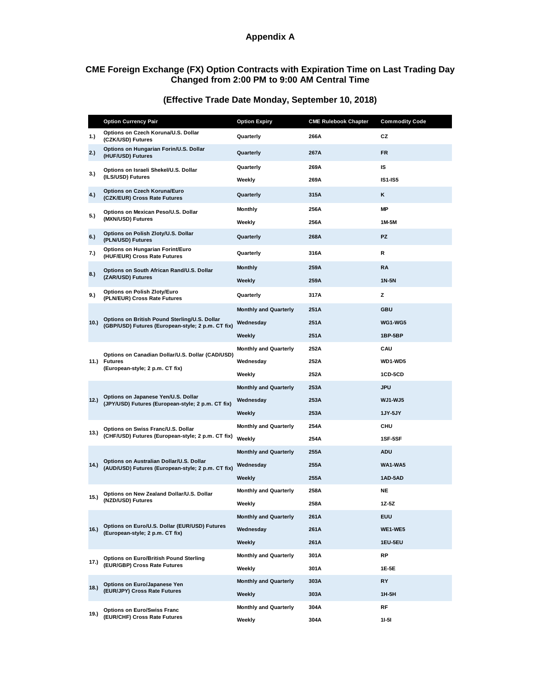# **Appendix A**

#### **CME Foreign Exchange (FX) Option Contracts with Expiration Time on Last Trading Day Changed from 2:00 PM to 9:00 AM Central Time**

|      | <b>Option Currency Pair</b>                                                                         | <b>Option Expiry</b>         | <b>CME Rulebook Chapter</b> | <b>Commodity Code</b> |
|------|-----------------------------------------------------------------------------------------------------|------------------------------|-----------------------------|-----------------------|
| 1.   | Options on Czech Koruna/U.S. Dollar<br>(CZK/USD) Futures                                            | Quarterly                    | 266A                        | CZ                    |
| 2.)  | Options on Hungarian Forin/U.S. Dollar<br>(HUF/USD) Futures                                         | Quarterly                    | 267A                        | <b>FR</b>             |
| 3.)  | Options on Israeli Shekel/U.S. Dollar<br>(ILS/USD) Futures                                          | Quarterly                    | 269A                        | IS                    |
|      |                                                                                                     | Weekly                       | 269A                        | <b>IS1-IS5</b>        |
| 4.)  | Options on Czech Koruna/Euro<br>(CZK/EUR) Cross Rate Futures                                        | Quarterly                    | 315A                        | ĸ                     |
| 5.)  | Options on Mexican Peso/U.S. Dollar<br>(MXN/USD) Futures                                            | <b>Monthly</b>               | 256A                        | <b>MP</b>             |
|      |                                                                                                     | Weekly                       | 256A                        | 1M-5M                 |
| 6.)  | Options on Polish Zloty/U.S. Dollar<br>(PLN/USD) Futures                                            | Quarterly                    | 268A                        | <b>PZ</b>             |
| 7.)  | Options on Hungarian Forint/Euro<br>(HUF/EUR) Cross Rate Futures                                    | Quarterly                    | 316A                        | R                     |
| 8.)  | Options on South African Rand/U.S. Dollar<br>(ZAR/USD) Futures                                      | <b>Monthly</b>               | 259A                        | <b>RA</b>             |
|      |                                                                                                     | Weekly                       | 259A                        | 1N-5N                 |
| 9.)  | <b>Options on Polish Zloty/Euro</b><br>(PLN/EUR) Cross Rate Futures                                 | Quarterly                    | 317A                        | z                     |
|      | Options on British Pound Sterling/U.S. Dollar<br>(GBP/USD) Futures (European-style; 2 p.m. CT fix)  | <b>Monthly and Quarterly</b> | 251A                        | <b>GBU</b>            |
| 10.) |                                                                                                     | Wednesday                    | 251A                        | WG1-WG5               |
|      |                                                                                                     | Weekly                       | 251A                        | 1BP-5BP               |
|      | Options on Canadian Dollar/U.S. Dollar (CAD/USD)<br>11.) Futures<br>(European-style; 2 p.m. CT fix) | <b>Monthly and Quarterly</b> | 252A                        | CAU                   |
|      |                                                                                                     | Wednesday                    | 252A                        | WD1-WD5               |
|      |                                                                                                     | Weekly                       | 252A                        | 1CD-5CD               |
|      | Options on Japanese Yen/U.S. Dollar<br>(JPY/USD) Futures (European-style; 2 p.m. CT fix)            | <b>Monthly and Quarterly</b> | 253A                        | <b>JPU</b>            |
| 12.) |                                                                                                     | Wednesday                    | 253A                        | <b>WJ1-WJ5</b>        |
|      |                                                                                                     | Weekly                       | 253A                        | 1JY-5JY               |
| 13.) | Options on Swiss Franc/U.S. Dollar<br>(CHF/USD) Futures (European-style; 2 p.m. CT fix)             | <b>Monthly and Quarterly</b> | 254A                        | CHU                   |
|      |                                                                                                     | Weekly                       | 254A                        | 1SF-5SF               |
| 14.) | Options on Australian Dollar/U.S. Dollar<br>(AUD/USD) Futures (European-style; 2 p.m. CT fix)       | <b>Monthly and Quarterly</b> | 255A                        | <b>ADU</b>            |
|      |                                                                                                     | Wednesday                    | 255A                        | WA1-WA5               |
|      |                                                                                                     | Weekly                       | 255A                        | 1AD-5AD               |
| 15.) | Options on New Zealand Dollar/U.S. Dollar<br>(NZD/USD) Futures                                      | <b>Monthly and Quarterly</b> | 258A                        | NE                    |
|      |                                                                                                     | Weekly                       | 258A                        | $1Z-5Z$               |
| 16.) | Options on Euro/U.S. Dollar (EUR/USD) Futures<br>(European-style; 2 p.m. CT fix)                    | <b>Monthly and Quarterly</b> | 261A                        | <b>EUU</b>            |
|      |                                                                                                     | Wednesday                    | 261A                        | WE1-WE5               |
|      |                                                                                                     | Weekly                       | 261A                        | 1EU-5EU               |
| 17.) | Options on Euro/British Pound Sterling<br>(EUR/GBP) Cross Rate Futures                              | <b>Monthly and Quarterly</b> | 301A                        | <b>RP</b>             |
|      |                                                                                                     | Weekly                       | 301A                        | 1E-5E                 |
| 18.  | Options on Euro/Japanese Yen<br>(EUR/JPY) Cross Rate Futures                                        | <b>Monthly and Quarterly</b> | 303A                        | RY                    |
|      |                                                                                                     | Weekly                       | 303A                        | $1H-5H$               |
| 19.) | <b>Options on Euro/Swiss Franc</b><br>(EUR/CHF) Cross Rate Futures                                  | <b>Monthly and Quarterly</b> | 304A                        | RF                    |
|      |                                                                                                     | Weekly                       | 304A                        | $11-51$               |

# **(Effective Trade Date Monday, September 10, 2018)**